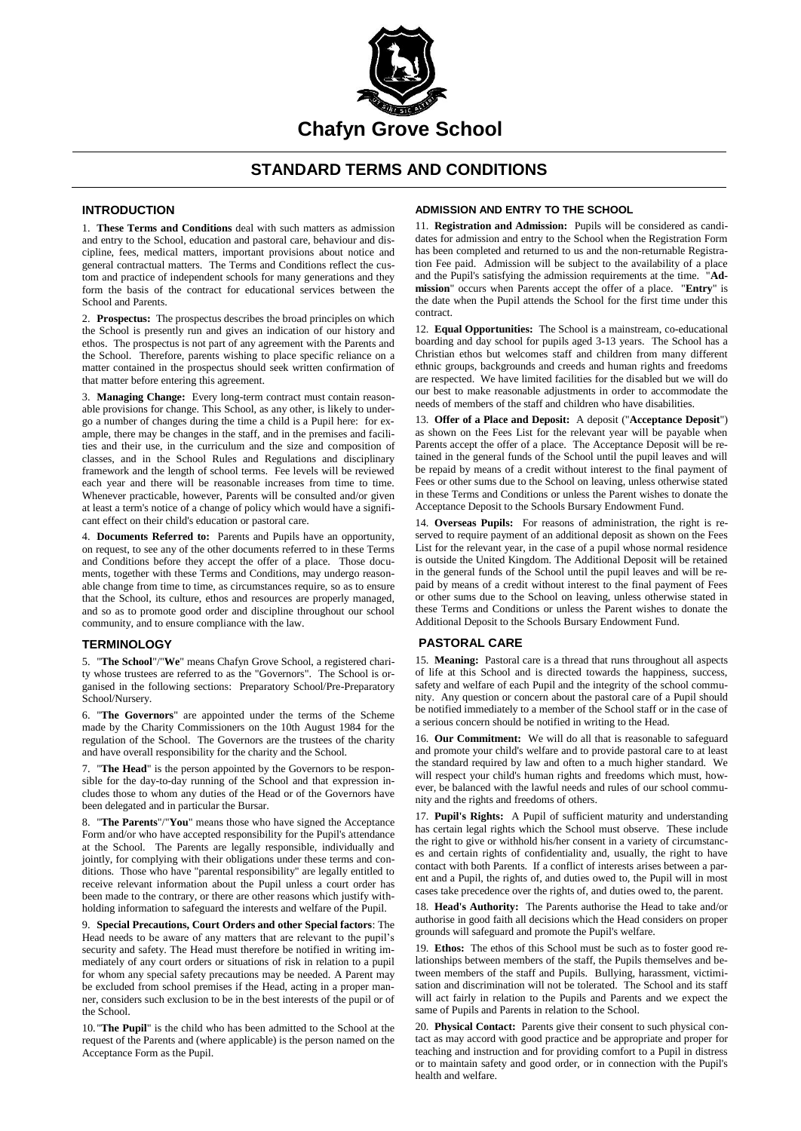

# **STANDARD TERMS AND CONDITIONS**

# **INTRODUCTION**

1. **These Terms and Conditions** deal with such matters as admission and entry to the School, education and pastoral care, behaviour and discipline, fees, medical matters, important provisions about notice and general contractual matters. The Terms and Conditions reflect the custom and practice of independent schools for many generations and they form the basis of the contract for educational services between the School and Parents.

2. **Prospectus:** The prospectus describes the broad principles on which the School is presently run and gives an indication of our history and ethos. The prospectus is not part of any agreement with the Parents and the School. Therefore, parents wishing to place specific reliance on a matter contained in the prospectus should seek written confirmation of that matter before entering this agreement.

3. **Managing Change:** Every long-term contract must contain reasonable provisions for change. This School, as any other, is likely to undergo a number of changes during the time a child is a Pupil here: for example, there may be changes in the staff, and in the premises and facilities and their use, in the curriculum and the size and composition of classes, and in the School Rules and Regulations and disciplinary framework and the length of school terms. Fee levels will be reviewed each year and there will be reasonable increases from time to time. Whenever practicable, however, Parents will be consulted and/or given at least a term's notice of a change of policy which would have a significant effect on their child's education or pastoral care.

4. **Documents Referred to:** Parents and Pupils have an opportunity, on request, to see any of the other documents referred to in these Terms and Conditions before they accept the offer of a place. Those documents, together with these Terms and Conditions, may undergo reasonable change from time to time, as circumstances require, so as to ensure that the School, its culture, ethos and resources are properly managed, and so as to promote good order and discipline throughout our school community, and to ensure compliance with the law.

## **TERMINOLOGY**

5. "**The School**"/"**We**" means Chafyn Grove School, a registered charity whose trustees are referred to as the "Governors". The School is organised in the following sections: Preparatory School/Pre-Preparatory School/Nursery.

6. "**The Governors**" are appointed under the terms of the Scheme made by the Charity Commissioners on the 10th August 1984 for the regulation of the School. The Governors are the trustees of the charity and have overall responsibility for the charity and the School.

7. "**The Head**" is the person appointed by the Governors to be responsible for the day-to-day running of the School and that expression includes those to whom any duties of the Head or of the Governors have been delegated and in particular the Bursar.

8. "**The Parents**"/"**You**" means those who have signed the Acceptance Form and/or who have accepted responsibility for the Pupil's attendance at the School. The Parents are legally responsible, individually and jointly, for complying with their obligations under these terms and conditions. Those who have "parental responsibility" are legally entitled to receive relevant information about the Pupil unless a court order has been made to the contrary, or there are other reasons which justify withholding information to safeguard the interests and welfare of the Pupil.

9. **Special Precautions, Court Orders and other Special factors**: The Head needs to be aware of any matters that are relevant to the pupil's security and safety. The Head must therefore be notified in writing immediately of any court orders or situations of risk in relation to a pupil for whom any special safety precautions may be needed. A Parent may be excluded from school premises if the Head, acting in a proper manner, considers such exclusion to be in the best interests of the pupil or of the School.

10. "**The Pupil**" is the child who has been admitted to the School at the request of the Parents and (where applicable) is the person named on the Acceptance Form as the Pupil.

# **ADMISSION AND ENTRY TO THE SCHOOL**

11. **Registration and Admission:** Pupils will be considered as candidates for admission and entry to the School when the Registration Form has been completed and returned to us and the non-returnable Registration Fee paid. Admission will be subject to the availability of a place and the Pupil's satisfying the admission requirements at the time. "**Admission**" occurs when Parents accept the offer of a place. "**Entry**" is the date when the Pupil attends the School for the first time under this contract.

12. **Equal Opportunities:** The School is a mainstream, co-educational boarding and day school for pupils aged 3-13 years. The School has a Christian ethos but welcomes staff and children from many different ethnic groups, backgrounds and creeds and human rights and freedoms are respected. We have limited facilities for the disabled but we will do our best to make reasonable adjustments in order to accommodate the needs of members of the staff and children who have disabilities.

13. **Offer of a Place and Deposit:** A deposit ("**Acceptance Deposit**") as shown on the Fees List for the relevant year will be payable when Parents accept the offer of a place. The Acceptance Deposit will be retained in the general funds of the School until the pupil leaves and will be repaid by means of a credit without interest to the final payment of Fees or other sums due to the School on leaving, unless otherwise stated in these Terms and Conditions or unless the Parent wishes to donate the Acceptance Deposit to the Schools Bursary Endowment Fund.

14. **Overseas Pupils:** For reasons of administration, the right is reserved to require payment of an additional deposit as shown on the Fees List for the relevant year, in the case of a pupil whose normal residence is outside the United Kingdom. The Additional Deposit will be retained in the general funds of the School until the pupil leaves and will be repaid by means of a credit without interest to the final payment of Fees or other sums due to the School on leaving, unless otherwise stated in these Terms and Conditions or unless the Parent wishes to donate the Additional Deposit to the Schools Bursary Endowment Fund.

# **PASTORAL CARE**

15. **Meaning:** Pastoral care is a thread that runs throughout all aspects of life at this School and is directed towards the happiness, success, safety and welfare of each Pupil and the integrity of the school community. Any question or concern about the pastoral care of a Pupil should be notified immediately to a member of the School staff or in the case of a serious concern should be notified in writing to the Head.

16. **Our Commitment:** We will do all that is reasonable to safeguard and promote your child's welfare and to provide pastoral care to at least the standard required by law and often to a much higher standard. We will respect your child's human rights and freedoms which must, however, be balanced with the lawful needs and rules of our school community and the rights and freedoms of others.

17. **Pupil's Rights:** A Pupil of sufficient maturity and understanding has certain legal rights which the School must observe. These include the right to give or withhold his/her consent in a variety of circumstances and certain rights of confidentiality and, usually, the right to have contact with both Parents. If a conflict of interests arises between a parent and a Pupil, the rights of, and duties owed to, the Pupil will in most cases take precedence over the rights of, and duties owed to, the parent.

18. **Head's Authority:** The Parents authorise the Head to take and/or authorise in good faith all decisions which the Head considers on proper grounds will safeguard and promote the Pupil's welfare.

19. **Ethos:** The ethos of this School must be such as to foster good relationships between members of the staff, the Pupils themselves and between members of the staff and Pupils. Bullying, harassment, victimisation and discrimination will not be tolerated. The School and its staff will act fairly in relation to the Pupils and Parents and we expect the same of Pupils and Parents in relation to the School.

20. **Physical Contact:** Parents give their consent to such physical contact as may accord with good practice and be appropriate and proper for teaching and instruction and for providing comfort to a Pupil in distress or to maintain safety and good order, or in connection with the Pupil's health and welfare.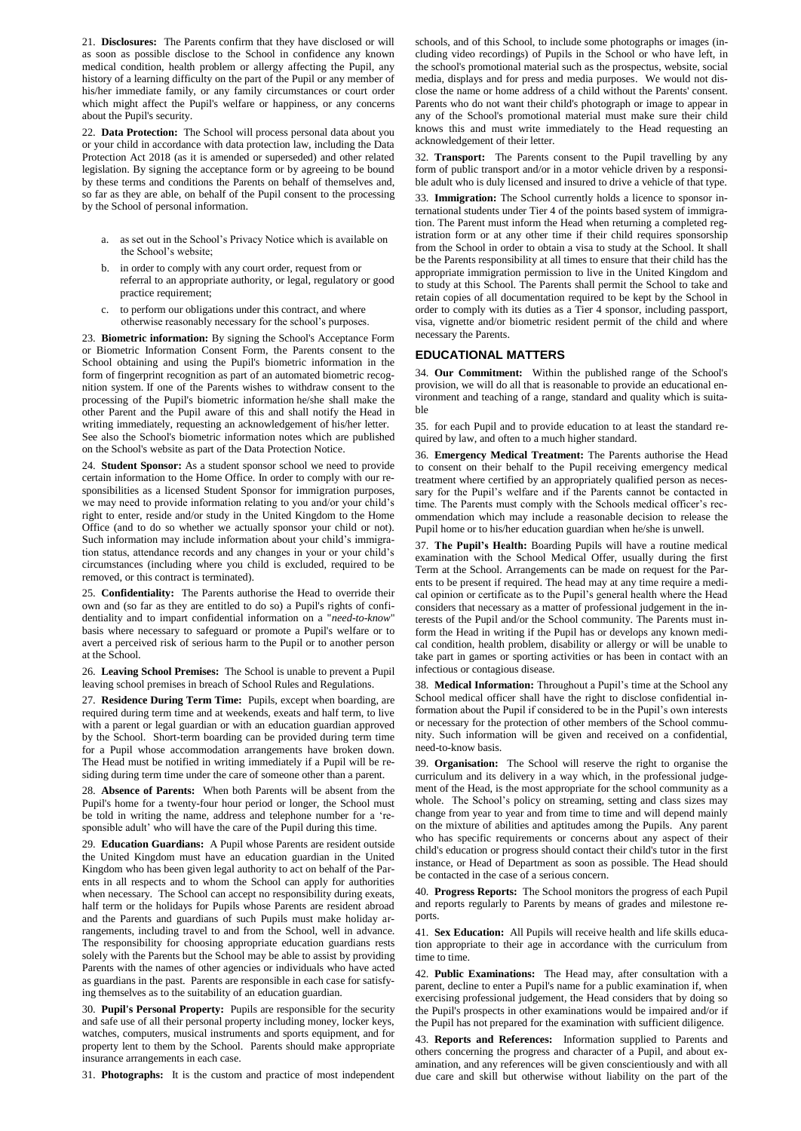21. **Disclosures:** The Parents confirm that they have disclosed or will as soon as possible disclose to the School in confidence any known medical condition, health problem or allergy affecting the Pupil, any history of a learning difficulty on the part of the Pupil or any member of his/her immediate family, or any family circumstances or court order which might affect the Pupil's welfare or happiness, or any concerns about the Pupil's security.

22. **Data Protection:** The School will process personal data about you or your child in accordance with data protection law, including the Data Protection Act 2018 (as it is amended or superseded) and other related legislation. By signing the acceptance form or by agreeing to be bound by these terms and conditions the Parents on behalf of themselves and, so far as they are able, on behalf of the Pupil consent to the processing by the School of personal information.

- a. as set out in the School's Privacy Notice which is available on the School's website;
- b. in order to comply with any court order, request from or referral to an appropriate authority, or legal, regulatory or good practice requirement;
- c. to perform our obligations under this contract, and where otherwise reasonably necessary for the school's purposes.

23. **Biometric information:** By signing the School's Acceptance Form or Biometric Information Consent Form, the Parents consent to the School obtaining and using the Pupil's biometric information in the form of fingerprint recognition as part of an automated biometric recognition system. If one of the Parents wishes to withdraw consent to the processing of the Pupil's biometric information he/she shall make the other Parent and the Pupil aware of this and shall notify the Head in writing immediately, requesting an acknowledgement of his/her letter. See also the School's biometric information notes which are published on the School's website as part of the Data Protection Notice.

24. **Student Sponsor:** As a student sponsor school we need to provide certain information to the Home Office. In order to comply with our responsibilities as a licensed Student Sponsor for immigration purposes, we may need to provide information relating to you and/or your child's right to enter, reside and/or study in the United Kingdom to the Home Office (and to do so whether we actually sponsor your child or not). Such information may include information about your child's immigration status, attendance records and any changes in your or your child's circumstances (including where you child is excluded, required to be removed, or this contract is terminated).

25. **Confidentiality:** The Parents authorise the Head to override their own and (so far as they are entitled to do so) a Pupil's rights of confidentiality and to impart confidential information on a "*need-to-know*" basis where necessary to safeguard or promote a Pupil's welfare or to avert a perceived risk of serious harm to the Pupil or to another person at the School.

26. **Leaving School Premises:** The School is unable to prevent a Pupil leaving school premises in breach of School Rules and Regulations.

27. **Residence During Term Time:** Pupils, except when boarding, are required during term time and at weekends, exeats and half term, to live with a parent or legal guardian or with an education guardian approved by the School. Short-term boarding can be provided during term time for a Pupil whose accommodation arrangements have broken down. The Head must be notified in writing immediately if a Pupil will be residing during term time under the care of someone other than a parent.

28. **Absence of Parents:** When both Parents will be absent from the Pupil's home for a twenty-four hour period or longer, the School must be told in writing the name, address and telephone number for a 'responsible adult' who will have the care of the Pupil during this time.

29. **Education Guardians:** A Pupil whose Parents are resident outside the United Kingdom must have an education guardian in the United Kingdom who has been given legal authority to act on behalf of the Parents in all respects and to whom the School can apply for authorities when necessary. The School can accept no responsibility during exeats, half term or the holidays for Pupils whose Parents are resident abroad and the Parents and guardians of such Pupils must make holiday arrangements, including travel to and from the School, well in advance. The responsibility for choosing appropriate education guardians rests solely with the Parents but the School may be able to assist by providing Parents with the names of other agencies or individuals who have acted as guardians in the past. Parents are responsible in each case for satisfying themselves as to the suitability of an education guardian.

30. **Pupil's Personal Property:** Pupils are responsible for the security and safe use of all their personal property including money, locker keys, watches, computers, musical instruments and sports equipment, and for property lent to them by the School. Parents should make appropriate insurance arrangements in each case.

31. **Photographs:** It is the custom and practice of most independent

schools, and of this School, to include some photographs or images (including video recordings) of Pupils in the School or who have left, in the school's promotional material such as the prospectus, website, social media, displays and for press and media purposes. We would not disclose the name or home address of a child without the Parents' consent. Parents who do not want their child's photograph or image to appear in any of the School's promotional material must make sure their child knows this and must write immediately to the Head requesting an acknowledgement of their letter.

32. **Transport:** The Parents consent to the Pupil travelling by any form of public transport and/or in a motor vehicle driven by a responsible adult who is duly licensed and insured to drive a vehicle of that type.

33. **Immigration:** The School currently holds a licence to sponsor international students under Tier 4 of the points based system of immigration. The Parent must inform the Head when returning a completed registration form or at any other time if their child requires sponsorship from the School in order to obtain a visa to study at the School. It shall be the Parents responsibility at all times to ensure that their child has the appropriate immigration permission to live in the United Kingdom and to study at this School. The Parents shall permit the School to take and retain copies of all documentation required to be kept by the School in order to comply with its duties as a Tier 4 sponsor, including passport, visa, vignette and/or biometric resident permit of the child and where necessary the Parents.

## **EDUCATIONAL MATTERS**

34. **Our Commitment:** Within the published range of the School's provision, we will do all that is reasonable to provide an educational environment and teaching of a range, standard and quality which is suitable

35. for each Pupil and to provide education to at least the standard required by law, and often to a much higher standard.

36. **Emergency Medical Treatment:** The Parents authorise the Head to consent on their behalf to the Pupil receiving emergency medical treatment where certified by an appropriately qualified person as necessary for the Pupil's welfare and if the Parents cannot be contacted in time. The Parents must comply with the Schools medical officer's recommendation which may include a reasonable decision to release the Pupil home or to his/her education guardian when he/she is unwell.

37. **The Pupil's Health:** Boarding Pupils will have a routine medical examination with the School Medical Offer, usually during the first Term at the School. Arrangements can be made on request for the Parents to be present if required. The head may at any time require a medical opinion or certificate as to the Pupil's general health where the Head considers that necessary as a matter of professional judgement in the interests of the Pupil and/or the School community. The Parents must inform the Head in writing if the Pupil has or develops any known medical condition, health problem, disability or allergy or will be unable to take part in games or sporting activities or has been in contact with an infectious or contagious disease.

38. **Medical Information:** Throughout a Pupil's time at the School any School medical officer shall have the right to disclose confidential information about the Pupil if considered to be in the Pupil's own interests or necessary for the protection of other members of the School community. Such information will be given and received on a confidential, need-to-know basis.

39. **Organisation:** The School will reserve the right to organise the curriculum and its delivery in a way which, in the professional judgement of the Head, is the most appropriate for the school community as a whole. The School's policy on streaming, setting and class sizes may change from year to year and from time to time and will depend mainly on the mixture of abilities and aptitudes among the Pupils. Any parent who has specific requirements or concerns about any aspect of their child's education or progress should contact their child's tutor in the first instance, or Head of Department as soon as possible. The Head should be contacted in the case of a serious concern.

40. **Progress Reports:** The School monitors the progress of each Pupil and reports regularly to Parents by means of grades and milestone reports.

41. **Sex Education:** All Pupils will receive health and life skills education appropriate to their age in accordance with the curriculum from time to time.

42. **Public Examinations:** The Head may, after consultation with a parent, decline to enter a Pupil's name for a public examination if, when exercising professional judgement, the Head considers that by doing so the Pupil's prospects in other examinations would be impaired and/or if the Pupil has not prepared for the examination with sufficient diligence.

43. **Reports and References:** Information supplied to Parents and others concerning the progress and character of a Pupil, and about examination, and any references will be given conscientiously and with all due care and skill but otherwise without liability on the part of the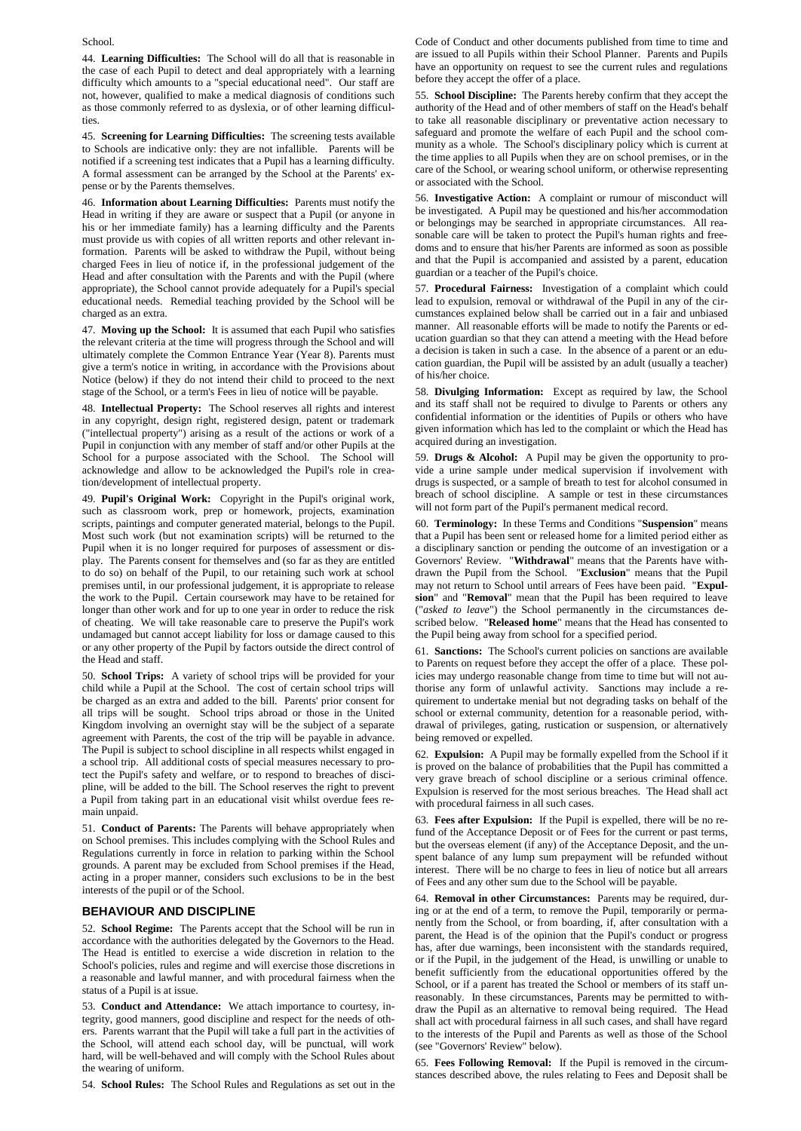#### School.

44. **Learning Difficulties:** The School will do all that is reasonable in the case of each Pupil to detect and deal appropriately with a learning difficulty which amounts to a "special educational need". Our staff are not, however, qualified to make a medical diagnosis of conditions such as those commonly referred to as dyslexia, or of other learning difficulties.

45. **Screening for Learning Difficulties:** The screening tests available to Schools are indicative only: they are not infallible. Parents will be notified if a screening test indicates that a Pupil has a learning difficulty. A formal assessment can be arranged by the School at the Parents' expense or by the Parents themselves.

46. **Information about Learning Difficulties:** Parents must notify the Head in writing if they are aware or suspect that a Pupil (or anyone in his or her immediate family) has a learning difficulty and the Parents must provide us with copies of all written reports and other relevant information. Parents will be asked to withdraw the Pupil, without being charged Fees in lieu of notice if, in the professional judgement of the Head and after consultation with the Parents and with the Pupil (where appropriate), the School cannot provide adequately for a Pupil's special educational needs. Remedial teaching provided by the School will be charged as an extra.

47. **Moving up the School:** It is assumed that each Pupil who satisfies the relevant criteria at the time will progress through the School and will ultimately complete the Common Entrance Year (Year 8). Parents must give a term's notice in writing, in accordance with the Provisions about Notice (below) if they do not intend their child to proceed to the next stage of the School, or a term's Fees in lieu of notice will be payable.

48. **Intellectual Property:** The School reserves all rights and interest in any copyright, design right, registered design, patent or trademark ("intellectual property") arising as a result of the actions or work of a Pupil in conjunction with any member of staff and/or other Pupils at the School for a purpose associated with the School. The School will acknowledge and allow to be acknowledged the Pupil's role in creation/development of intellectual property.

49. **Pupil's Original Work:** Copyright in the Pupil's original work, such as classroom work, prep or homework, projects, examination scripts, paintings and computer generated material, belongs to the Pupil. Most such work (but not examination scripts) will be returned to the Pupil when it is no longer required for purposes of assessment or display. The Parents consent for themselves and (so far as they are entitled to do so) on behalf of the Pupil, to our retaining such work at school premises until, in our professional judgement, it is appropriate to release the work to the Pupil. Certain coursework may have to be retained for longer than other work and for up to one year in order to reduce the risk of cheating. We will take reasonable care to preserve the Pupil's work undamaged but cannot accept liability for loss or damage caused to this or any other property of the Pupil by factors outside the direct control of the Head and staff.

50. **School Trips:** A variety of school trips will be provided for your child while a Pupil at the School. The cost of certain school trips will be charged as an extra and added to the bill. Parents' prior consent for all trips will be sought. School trips abroad or those in the United Kingdom involving an overnight stay will be the subject of a separate agreement with Parents, the cost of the trip will be payable in advance. The Pupil is subject to school discipline in all respects whilst engaged in a school trip. All additional costs of special measures necessary to protect the Pupil's safety and welfare, or to respond to breaches of discipline, will be added to the bill. The School reserves the right to prevent a Pupil from taking part in an educational visit whilst overdue fees remain unpaid.

51. **Conduct of Parents:** The Parents will behave appropriately when on School premises. This includes complying with the School Rules and Regulations currently in force in relation to parking within the School grounds. A parent may be excluded from School premises if the Head, acting in a proper manner, considers such exclusions to be in the best interests of the pupil or of the School.

#### **BEHAVIOUR AND DISCIPLINE**

52. **School Regime:** The Parents accept that the School will be run in accordance with the authorities delegated by the Governors to the Head. The Head is entitled to exercise a wide discretion in relation to the School's policies, rules and regime and will exercise those discretions in a reasonable and lawful manner, and with procedural fairness when the status of a Pupil is at issue.

53. **Conduct and Attendance:** We attach importance to courtesy, integrity, good manners, good discipline and respect for the needs of others. Parents warrant that the Pupil will take a full part in the activities of the School, will attend each school day, will be punctual, will work hard, will be well-behaved and will comply with the School Rules about the wearing of uniform.

54. **School Rules:** The School Rules and Regulations as set out in the

Code of Conduct and other documents published from time to time and are issued to all Pupils within their School Planner. Parents and Pupils have an opportunity on request to see the current rules and regulations before they accept the offer of a place.

55. **School Discipline:** The Parents hereby confirm that they accept the authority of the Head and of other members of staff on the Head's behalf to take all reasonable disciplinary or preventative action necessary to safeguard and promote the welfare of each Pupil and the school community as a whole. The School's disciplinary policy which is current at the time applies to all Pupils when they are on school premises, or in the care of the School, or wearing school uniform, or otherwise representing or associated with the School.

56. **Investigative Action:** A complaint or rumour of misconduct will be investigated. A Pupil may be questioned and his/her accommodation or belongings may be searched in appropriate circumstances. All reasonable care will be taken to protect the Pupil's human rights and freedoms and to ensure that his/her Parents are informed as soon as possible and that the Pupil is accompanied and assisted by a parent, education guardian or a teacher of the Pupil's choice.

57. **Procedural Fairness:** Investigation of a complaint which could lead to expulsion, removal or withdrawal of the Pupil in any of the circumstances explained below shall be carried out in a fair and unbiased manner. All reasonable efforts will be made to notify the Parents or education guardian so that they can attend a meeting with the Head before a decision is taken in such a case. In the absence of a parent or an education guardian, the Pupil will be assisted by an adult (usually a teacher) of his/her choice.

58. **Divulging Information:** Except as required by law, the School and its staff shall not be required to divulge to Parents or others any confidential information or the identities of Pupils or others who have given information which has led to the complaint or which the Head has acquired during an investigation.

59. **Drugs & Alcohol:** A Pupil may be given the opportunity to provide a urine sample under medical supervision if involvement with drugs is suspected, or a sample of breath to test for alcohol consumed in breach of school discipline. A sample or test in these circumstances will not form part of the Pupil's permanent medical record.

60. **Terminology:** In these Terms and Conditions "**Suspension**" means that a Pupil has been sent or released home for a limited period either as a disciplinary sanction or pending the outcome of an investigation or a Governors' Review. "**Withdrawal**" means that the Parents have withdrawn the Pupil from the School. "**Exclusion**" means that the Pupil may not return to School until arrears of Fees have been paid. "**Expulsion**" and "**Removal**" mean that the Pupil has been required to leave ("*asked to leave*") the School permanently in the circumstances described below. "**Released home**" means that the Head has consented to the Pupil being away from school for a specified period.

61. **Sanctions:** The School's current policies on sanctions are available to Parents on request before they accept the offer of a place. These policies may undergo reasonable change from time to time but will not authorise any form of unlawful activity. Sanctions may include a requirement to undertake menial but not degrading tasks on behalf of the school or external community, detention for a reasonable period, withdrawal of privileges, gating, rustication or suspension, or alternatively being removed or expelled.

62. **Expulsion:** A Pupil may be formally expelled from the School if it is proved on the balance of probabilities that the Pupil has committed a very grave breach of school discipline or a serious criminal offence. Expulsion is reserved for the most serious breaches. The Head shall act with procedural fairness in all such cases.

63. **Fees after Expulsion:** If the Pupil is expelled, there will be no refund of the Acceptance Deposit or of Fees for the current or past terms, but the overseas element (if any) of the Acceptance Deposit, and the unspent balance of any lump sum prepayment will be refunded without interest. There will be no charge to fees in lieu of notice but all arrears of Fees and any other sum due to the School will be payable.

64. **Removal in other Circumstances:** Parents may be required, during or at the end of a term, to remove the Pupil, temporarily or permanently from the School, or from boarding, if, after consultation with a parent, the Head is of the opinion that the Pupil's conduct or progress has, after due warnings, been inconsistent with the standards required, or if the Pupil, in the judgement of the Head, is unwilling or unable to benefit sufficiently from the educational opportunities offered by the School, or if a parent has treated the School or members of its staff unreasonably. In these circumstances, Parents may be permitted to withdraw the Pupil as an alternative to removal being required. The Head shall act with procedural fairness in all such cases, and shall have regard to the interests of the Pupil and Parents as well as those of the School (see "Governors' Review" below).

65. **Fees Following Removal:** If the Pupil is removed in the circumstances described above, the rules relating to Fees and Deposit shall be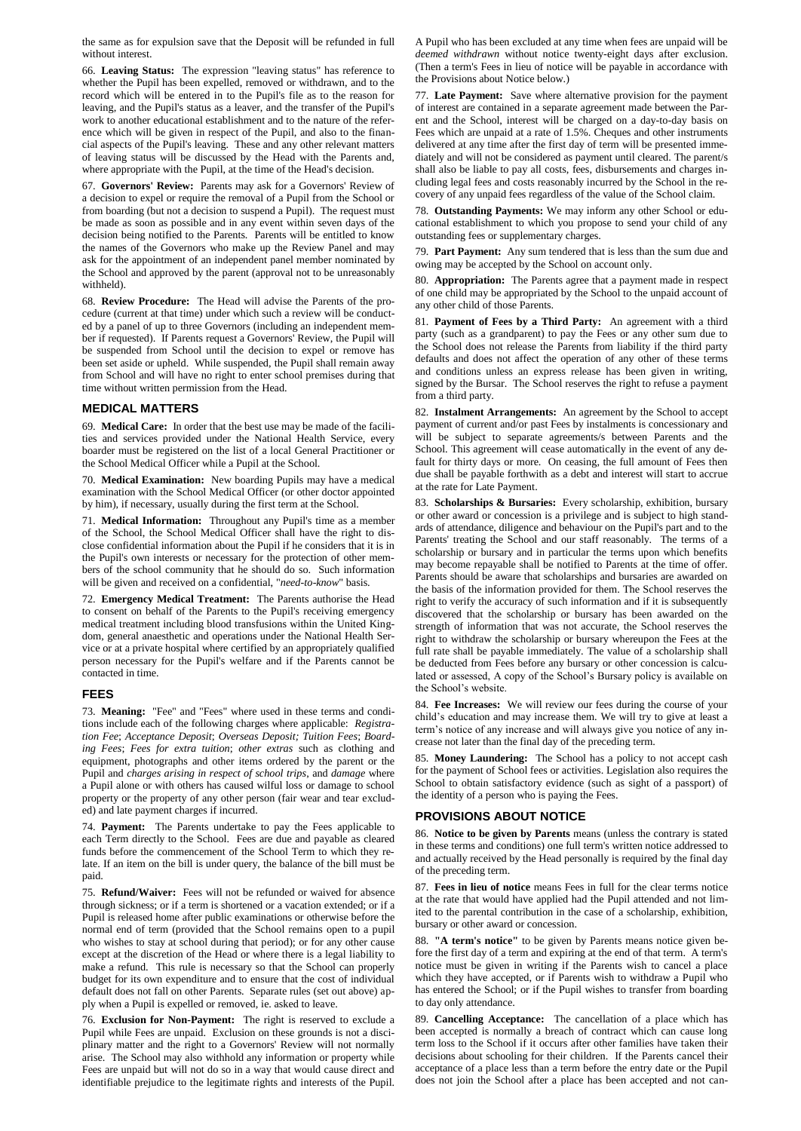the same as for expulsion save that the Deposit will be refunded in full without interest.

66. **Leaving Status:** The expression "leaving status" has reference to whether the Pupil has been expelled, removed or withdrawn, and to the record which will be entered in to the Pupil's file as to the reason for leaving, and the Pupil's status as a leaver, and the transfer of the Pupil's work to another educational establishment and to the nature of the reference which will be given in respect of the Pupil, and also to the financial aspects of the Pupil's leaving. These and any other relevant matters of leaving status will be discussed by the Head with the Parents and, where appropriate with the Pupil, at the time of the Head's decision.

67. **Governors' Review:** Parents may ask for a Governors' Review of a decision to expel or require the removal of a Pupil from the School or from boarding (but not a decision to suspend a Pupil). The request must be made as soon as possible and in any event within seven days of the decision being notified to the Parents. Parents will be entitled to know the names of the Governors who make up the Review Panel and may ask for the appointment of an independent panel member nominated by the School and approved by the parent (approval not to be unreasonably withheld).

68. **Review Procedure:** The Head will advise the Parents of the procedure (current at that time) under which such a review will be conducted by a panel of up to three Governors (including an independent member if requested). If Parents request a Governors' Review, the Pupil will be suspended from School until the decision to expel or remove has been set aside or upheld. While suspended, the Pupil shall remain away from School and will have no right to enter school premises during that time without written permission from the Head.

## **MEDICAL MATTERS**

69. **Medical Care:** In order that the best use may be made of the facilities and services provided under the National Health Service, every boarder must be registered on the list of a local General Practitioner or the School Medical Officer while a Pupil at the School.

70. **Medical Examination:** New boarding Pupils may have a medical examination with the School Medical Officer (or other doctor appointed by him), if necessary, usually during the first term at the School.

71. **Medical Information:** Throughout any Pupil's time as a member of the School, the School Medical Officer shall have the right to disclose confidential information about the Pupil if he considers that it is in the Pupil's own interests or necessary for the protection of other members of the school community that he should do so. Such information will be given and received on a confidential, "*need-to-know*" basis.

72. **Emergency Medical Treatment:** The Parents authorise the Head to consent on behalf of the Parents to the Pupil's receiving emergency medical treatment including blood transfusions within the United Kingdom, general anaesthetic and operations under the National Health Service or at a private hospital where certified by an appropriately qualified person necessary for the Pupil's welfare and if the Parents cannot be contacted in time.

## **FEES**

73. **Meaning:** "Fee" and "Fees" where used in these terms and conditions include each of the following charges where applicable: *Registration Fee*; *Acceptance Deposit*; *Overseas Deposit; Tuition Fees*; *Boarding Fees*; *Fees for extra tuition*; *other extras* such as clothing and equipment, photographs and other items ordered by the parent or the Pupil and *charges arising in respect of school trips*, and *damage* where a Pupil alone or with others has caused wilful loss or damage to school property or the property of any other person (fair wear and tear excluded) and late payment charges if incurred.

74. **Payment:** The Parents undertake to pay the Fees applicable to each Term directly to the School. Fees are due and payable as cleared funds before the commencement of the School Term to which they relate. If an item on the bill is under query, the balance of the bill must be paid.

75. **Refund/Waiver:** Fees will not be refunded or waived for absence through sickness; or if a term is shortened or a vacation extended; or if a Pupil is released home after public examinations or otherwise before the normal end of term (provided that the School remains open to a pupil who wishes to stay at school during that period); or for any other cause except at the discretion of the Head or where there is a legal liability to make a refund. This rule is necessary so that the School can properly budget for its own expenditure and to ensure that the cost of individual default does not fall on other Parents. Separate rules (set out above) apply when a Pupil is expelled or removed, ie. asked to leave.

76. **Exclusion for Non-Payment:** The right is reserved to exclude a Pupil while Fees are unpaid. Exclusion on these grounds is not a disciplinary matter and the right to a Governors' Review will not normally arise. The School may also withhold any information or property while Fees are unpaid but will not do so in a way that would cause direct and identifiable prejudice to the legitimate rights and interests of the Pupil. A Pupil who has been excluded at any time when fees are unpaid will be *deemed withdrawn* without notice twenty-eight days after exclusion. (Then a term's Fees in lieu of notice will be payable in accordance with the Provisions about Notice below.)

77. **Late Payment:** Save where alternative provision for the payment of interest are contained in a separate agreement made between the Parent and the School, interest will be charged on a day-to-day basis on Fees which are unpaid at a rate of 1.5%. Cheques and other instruments delivered at any time after the first day of term will be presented immediately and will not be considered as payment until cleared. The parent/s shall also be liable to pay all costs, fees, disbursements and charges including legal fees and costs reasonably incurred by the School in the recovery of any unpaid fees regardless of the value of the School claim.

78. **Outstanding Payments:** We may inform any other School or educational establishment to which you propose to send your child of any outstanding fees or supplementary charges.

79. **Part Payment:** Any sum tendered that is less than the sum due and owing may be accepted by the School on account only.

80. **Appropriation:** The Parents agree that a payment made in respect of one child may be appropriated by the School to the unpaid account of any other child of those Parents.

81. **Payment of Fees by a Third Party:** An agreement with a third party (such as a grandparent) to pay the Fees or any other sum due to the School does not release the Parents from liability if the third party defaults and does not affect the operation of any other of these terms and conditions unless an express release has been given in writing, signed by the Bursar. The School reserves the right to refuse a payment from a third party.

82. **Instalment Arrangements:** An agreement by the School to accept payment of current and/or past Fees by instalments is concessionary and will be subject to separate agreements/s between Parents and the School. This agreement will cease automatically in the event of any default for thirty days or more. On ceasing, the full amount of Fees then due shall be payable forthwith as a debt and interest will start to accrue at the rate for Late Payment.

83. **Scholarships & Bursaries:** Every scholarship, exhibition, bursary or other award or concession is a privilege and is subject to high standards of attendance, diligence and behaviour on the Pupil's part and to the Parents' treating the School and our staff reasonably. The terms of a scholarship or bursary and in particular the terms upon which benefits may become repayable shall be notified to Parents at the time of offer. Parents should be aware that scholarships and bursaries are awarded on the basis of the information provided for them. The School reserves the right to verify the accuracy of such information and if it is subsequently discovered that the scholarship or bursary has been awarded on the strength of information that was not accurate, the School reserves the right to withdraw the scholarship or bursary whereupon the Fees at the full rate shall be payable immediately. The value of a scholarship shall be deducted from Fees before any bursary or other concession is calculated or assessed, A copy of the School's Bursary policy is available on the School's website.

84. **Fee Increases:** We will review our fees during the course of your child's education and may increase them. We will try to give at least a term's notice of any increase and will always give you notice of any increase not later than the final day of the preceding term.

85. **Money Laundering:** The School has a policy to not accept cash for the payment of School fees or activities. Legislation also requires the School to obtain satisfactory evidence (such as sight of a passport) of the identity of a person who is paying the Fees.

## **PROVISIONS ABOUT NOTICE**

86. **Notice to be given by Parents** means (unless the contrary is stated in these terms and conditions) one full term's written notice addressed to and actually received by the Head personally is required by the final day of the preceding term.

87. **Fees in lieu of notice** means Fees in full for the clear terms notice at the rate that would have applied had the Pupil attended and not limited to the parental contribution in the case of a scholarship, exhibition, bursary or other award or concession.

88. **"A term's notice"** to be given by Parents means notice given before the first day of a term and expiring at the end of that term. A term's notice must be given in writing if the Parents wish to cancel a place which they have accepted, or if Parents wish to withdraw a Pupil who has entered the School; or if the Pupil wishes to transfer from boarding to day only attendance.

89. **Cancelling Acceptance:** The cancellation of a place which has been accepted is normally a breach of contract which can cause long term loss to the School if it occurs after other families have taken their decisions about schooling for their children. If the Parents cancel their acceptance of a place less than a term before the entry date or the Pupil does not join the School after a place has been accepted and not can